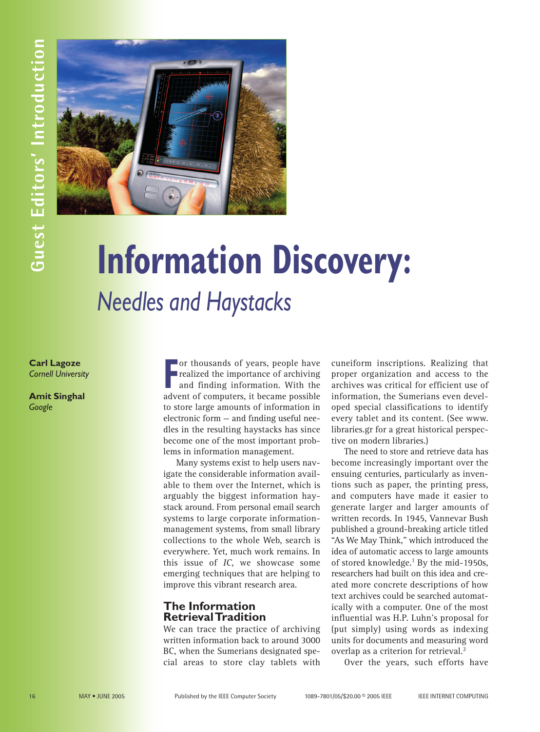

# **Carl Lagoze** *Needles and Haystacks*

*Cornell University*

**Amit Singhal** *Google*

**FRED CONTROLLER CONTROLLER CONTROLLER SUBJEMENT CONTROLLER ADVENTUATION**<br> **FRED COMPUTERS**, it became possible<br> **FRED COMPUTERS**, it became possible or thousands of years, people have realized the importance of archiving and finding information. With the to store large amounts of information in electronic form — and finding useful needles in the resulting haystacks has since become one of the most important problems in information management.

**Information Discovery:**

Many systems exist to help users navigate the considerable information available to them over the Internet, which is arguably the biggest information haystack around. From personal email search systems to large corporate informationmanagement systems, from small library collections to the whole Web, search is everywhere. Yet, much work remains. In this issue of *IC*, we showcase some emerging techniques that are helping to improve this vibrant research area.

## **The Information Retrieval Tradition**

We can trace the practice of archiving written information back to around 3000 BC, when the Sumerians designated special areas to store clay tablets with cuneiform inscriptions. Realizing that proper organization and access to the archives was critical for efficient use of information, the Sumerians even developed special classifications to identify every tablet and its content. (See www. libraries.gr for a great historical perspective on modern libraries.)

The need to store and retrieve data has become increasingly important over the ensuing centuries, particularly as inventions such as paper, the printing press, and computers have made it easier to generate larger and larger amounts of written records. In 1945, Vannevar Bush published a ground-breaking article titled "As We May Think," which introduced the idea of automatic access to large amounts of stored knowledge.<sup>1</sup> By the mid-1950s, researchers had built on this idea and created more concrete descriptions of how text archives could be searched automatically with a computer. One of the most influential was H.P. Luhn's proposal for (put simply) using words as indexing units for documents and measuring word overlap as a criterion for retrieval.<sup>2</sup>

Over the years, such efforts have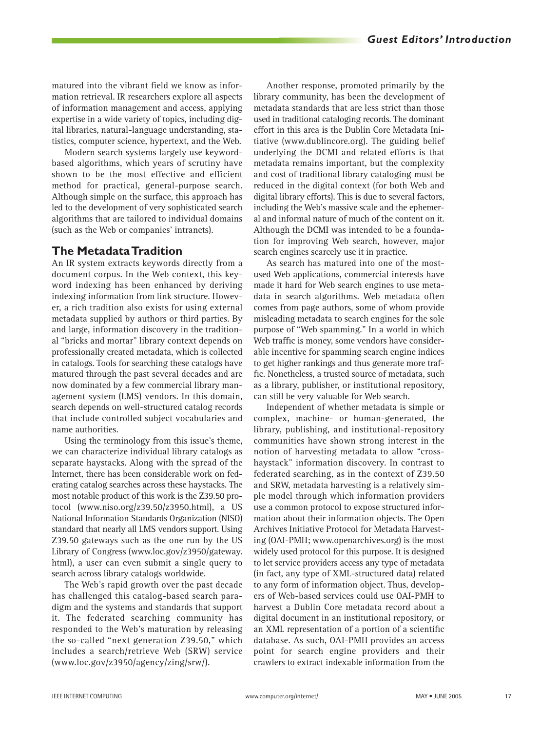matured into the vibrant field we know as information retrieval. IR researchers explore all aspects of information management and access, applying expertise in a wide variety of topics, including digital libraries, natural-language understanding, statistics, computer science, hypertext, and the Web.

Modern search systems largely use keywordbased algorithms, which years of scrutiny have shown to be the most effective and efficient method for practical, general-purpose search. Although simple on the surface, this approach has led to the development of very sophisticated search algorithms that are tailored to individual domains (such as the Web or companies' intranets).

### **The Metadata Tradition**

An IR system extracts keywords directly from a document corpus. In the Web context, this keyword indexing has been enhanced by deriving indexing information from link structure. However, a rich tradition also exists for using external metadata supplied by authors or third parties. By and large, information discovery in the traditional "bricks and mortar" library context depends on professionally created metadata, which is collected in catalogs. Tools for searching these catalogs have matured through the past several decades and are now dominated by a few commercial library management system (LMS) vendors. In this domain, search depends on well-structured catalog records that include controlled subject vocabularies and name authorities.

Using the terminology from this issue's theme, we can characterize individual library catalogs as separate haystacks. Along with the spread of the Internet, there has been considerable work on federating catalog searches across these haystacks. The most notable product of this work is the Z39.50 protocol (www.niso.org/z39.50/z3950.html), a US National Information Standards Organization (NISO) standard that nearly all LMS vendors support. Using Z39.50 gateways such as the one run by the US Library of Congress (www.loc.gov/z3950/gateway. html), a user can even submit a single query to search across library catalogs worldwide.

The Web's rapid growth over the past decade has challenged this catalog-based search paradigm and the systems and standards that support it. The federated searching community has responded to the Web's maturation by releasing the so-called "next generation Z39.50," which includes a search/retrieve Web (SRW) service (www.loc.gov/z3950/agency/zing/srw/).

Another response, promoted primarily by the library community, has been the development of metadata standards that are less strict than those used in traditional cataloging records. The dominant effort in this area is the Dublin Core Metadata Initiative (www.dublincore.org). The guiding belief underlying the DCMI and related efforts is that metadata remains important, but the complexity and cost of traditional library cataloging must be reduced in the digital context (for both Web and digital library efforts). This is due to several factors, including the Web's massive scale and the ephemeral and informal nature of much of the content on it. Although the DCMI was intended to be a foundation for improving Web search, however, major search engines scarcely use it in practice.

As search has matured into one of the mostused Web applications, commercial interests have made it hard for Web search engines to use metadata in search algorithms. Web metadata often comes from page authors, some of whom provide misleading metadata to search engines for the sole purpose of "Web spamming." In a world in which Web traffic is money, some vendors have considerable incentive for spamming search engine indices to get higher rankings and thus generate more traffic. Nonetheless, a trusted source of metadata, such as a library, publisher, or institutional repository, can still be very valuable for Web search.

Independent of whether metadata is simple or complex, machine- or human-generated, the library, publishing, and institutional-repository communities have shown strong interest in the notion of harvesting metadata to allow "crosshaystack" information discovery. In contrast to federated searching, as in the context of Z39.50 and SRW, metadata harvesting is a relatively simple model through which information providers use a common protocol to expose structured information about their information objects. The Open Archives Initiative Protocol for Metadata Harvesting (OAI-PMH; www.openarchives.org) is the most widely used protocol for this purpose. It is designed to let service providers access any type of metadata (in fact, any type of XML-structured data) related to any form of information object. Thus, developers of Web-based services could use OAI-PMH to harvest a Dublin Core metadata record about a digital document in an institutional repository, or an XML representation of a portion of a scientific database. As such, OAI-PMH provides an access point for search engine providers and their crawlers to extract indexable information from the